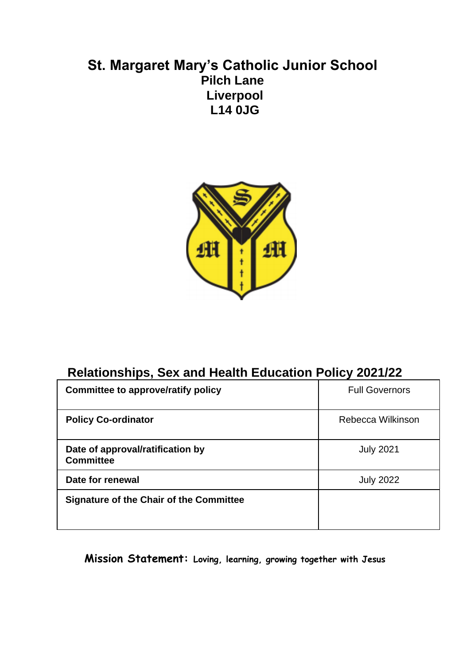# **St. Margaret Mary's Catholic Junior School Pilch Lane Liverpool L14 0JG**



# **Relationships, Sex and Health Education Policy 2021/22**

| <b>Committee to approve/ratify policy</b>            | <b>Full Governors</b> |
|------------------------------------------------------|-----------------------|
| <b>Policy Co-ordinator</b>                           | Rebecca Wilkinson     |
| Date of approval/ratification by<br><b>Committee</b> | <b>July 2021</b>      |
| Date for renewal                                     | <b>July 2022</b>      |
| <b>Signature of the Chair of the Committee</b>       |                       |

**Mission Statement: Loving, learning, growing together with Jesus**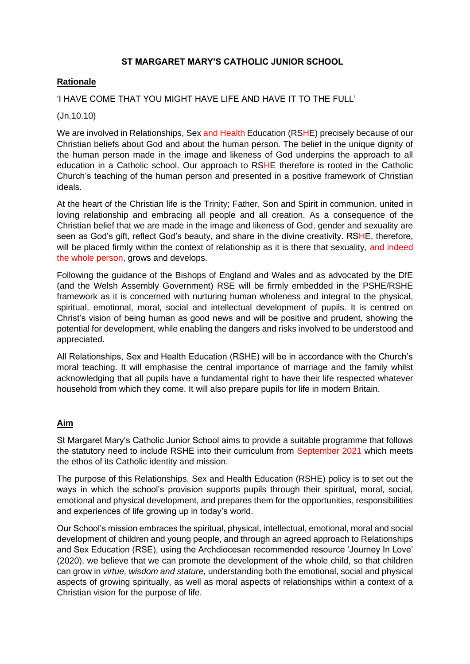### **ST MARGARET MARY'S CATHOLIC JUNIOR SCHOOL**

### **Rationale**

'I HAVE COME THAT YOU MIGHT HAVE LIFE AND HAVE IT TO THE FULL'

(Jn.10.10)

We are involved in Relationships, Sex and Health Education (RSHE) precisely because of our Christian beliefs about God and about the human person. The belief in the unique dignity of the human person made in the image and likeness of God underpins the approach to all education in a Catholic school. Our approach to RSHE therefore is rooted in the Catholic Church's teaching of the human person and presented in a positive framework of Christian ideals.

At the heart of the Christian life is the Trinity; Father, Son and Spirit in communion, united in loving relationship and embracing all people and all creation. As a consequence of the Christian belief that we are made in the image and likeness of God, gender and sexuality are seen as God's gift, reflect God's beauty, and share in the divine creativity. RSHE, therefore, will be placed firmly within the context of relationship as it is there that sexuality, and indeed the whole person, grows and develops.

Following the guidance of the Bishops of England and Wales and as advocated by the DfE (and the Welsh Assembly Government) RSE will be firmly embedded in the PSHE/RSHE framework as it is concerned with nurturing human wholeness and integral to the physical, spiritual, emotional, moral, social and intellectual development of pupils. It is centred on Christ's vision of being human as good news and will be positive and prudent, showing the potential for development, while enabling the dangers and risks involved to be understood and appreciated.

All Relationships, Sex and Health Education (RSHE) will be in accordance with the Church's moral teaching. It will emphasise the central importance of marriage and the family whilst acknowledging that all pupils have a fundamental right to have their life respected whatever household from which they come. It will also prepare pupils for life in modern Britain.

#### **Aim**

St Margaret Mary's Catholic Junior School aims to provide a suitable programme that follows the statutory need to include RSHE into their curriculum from September 2021 which meets the ethos of its Catholic identity and mission.

The purpose of this Relationships, Sex and Health Education (RSHE) policy is to set out the ways in which the school's provision supports pupils through their spiritual, moral, social, emotional and physical development, and prepares them for the opportunities, responsibilities and experiences of life growing up in today's world.

Our School's mission embraces the spiritual, physical, intellectual, emotional, moral and social development of children and young people, and through an agreed approach to Relationships and Sex Education (RSE), using the Archdiocesan recommended resource 'Journey In Love' (2020), we believe that we can promote the development of the whole child, so that children can grow in *virtue, wisdom and stature,* understanding both the emotional, social and physical aspects of growing spiritually, as well as moral aspects of relationships within a context of a Christian vision for the purpose of life.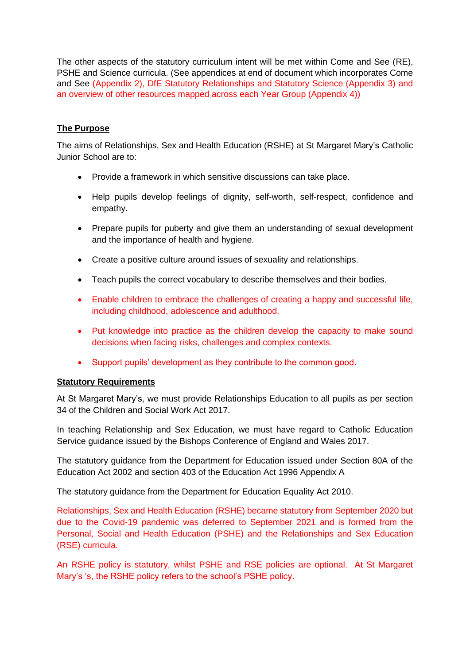The other aspects of the statutory curriculum intent will be met within Come and See (RE), PSHE and Science curricula. (See appendices at end of document which incorporates Come and See (Appendix 2), DfE Statutory Relationships and Statutory Science (Appendix 3) and an overview of other resources mapped across each Year Group (Appendix 4))

### **The Purpose**

The aims of Relationships, Sex and Health Education (RSHE) at St Margaret Mary's Catholic Junior School are to:

- Provide a framework in which sensitive discussions can take place.
- Help pupils develop feelings of dignity, self-worth, self-respect, confidence and empathy.
- Prepare pupils for puberty and give them an understanding of sexual development and the importance of health and hygiene.
- Create a positive culture around issues of sexuality and relationships.
- Teach pupils the correct vocabulary to describe themselves and their bodies.
- Enable children to embrace the challenges of creating a happy and successful life, including childhood, adolescence and adulthood.
- Put knowledge into practice as the children develop the capacity to make sound decisions when facing risks, challenges and complex contexts.
- Support pupils' development as they contribute to the common good.

#### **Statutory Requirements**

At St Margaret Mary's, we must provide Relationships Education to all pupils as per section 34 of the Children and Social Work Act 2017.

In teaching Relationship and Sex Education, we must have regard to Catholic Education Service guidance issued by the Bishops Conference of England and Wales 2017.

The statutory guidance from the Department for Education issued under Section 80A of the Education Act 2002 and section 403 of the Education Act 1996 Appendix A

The statutory guidance from the Department for Education Equality Act 2010.

Relationships, Sex and Health Education (RSHE) became statutory from September 2020 but due to the Covid-19 pandemic was deferred to September 2021 and is formed from the Personal, Social and Health Education (PSHE) and the Relationships and Sex Education (RSE) curricula.

An RSHE policy is statutory, whilst PSHE and RSE policies are optional. At St Margaret Mary's 's, the RSHE policy refers to the school's PSHE policy.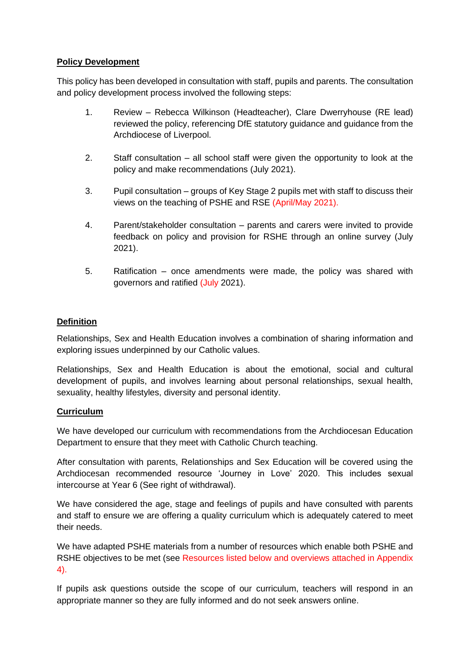### **Policy Development**

This policy has been developed in consultation with staff, pupils and parents. The consultation and policy development process involved the following steps:

- 1. Review Rebecca Wilkinson (Headteacher), Clare Dwerryhouse (RE lead) reviewed the policy, referencing DfE statutory guidance and guidance from the Archdiocese of Liverpool.
- 2. Staff consultation all school staff were given the opportunity to look at the policy and make recommendations (July 2021).
- 3. Pupil consultation groups of Key Stage 2 pupils met with staff to discuss their views on the teaching of PSHE and RSE (April/May 2021).
- 4. Parent/stakeholder consultation parents and carers were invited to provide feedback on policy and provision for RSHE through an online survey (July 2021).
- 5. Ratification once amendments were made, the policy was shared with governors and ratified (July 2021).

### **Definition**

Relationships, Sex and Health Education involves a combination of sharing information and exploring issues underpinned by our Catholic values.

Relationships, Sex and Health Education is about the emotional, social and cultural development of pupils, and involves learning about personal relationships, sexual health, sexuality, healthy lifestyles, diversity and personal identity.

#### **Curriculum**

We have developed our curriculum with recommendations from the Archdiocesan Education Department to ensure that they meet with Catholic Church teaching.

After consultation with parents, Relationships and Sex Education will be covered using the Archdiocesan recommended resource 'Journey in Love' 2020. This includes sexual intercourse at Year 6 (See right of withdrawal).

We have considered the age, stage and feelings of pupils and have consulted with parents and staff to ensure we are offering a quality curriculum which is adequately catered to meet their needs.

We have adapted PSHE materials from a number of resources which enable both PSHE and RSHE objectives to be met (see Resources listed below and overviews attached in Appendix 4).

If pupils ask questions outside the scope of our curriculum, teachers will respond in an appropriate manner so they are fully informed and do not seek answers online.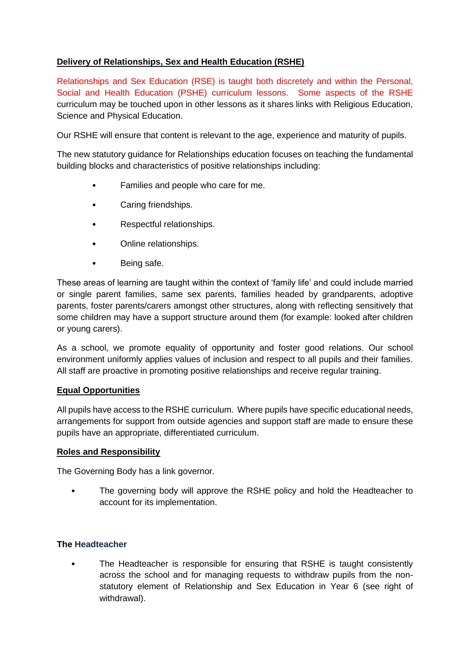## **Delivery of Relationships, Sex and Health Education (RSHE)**

Relationships and Sex Education (RSE) is taught both discretely and within the Personal, Social and Health Education (PSHE) curriculum lessons. Some aspects of the RSHE curriculum may be touched upon in other lessons as it shares links with Religious Education, Science and Physical Education.

Our RSHE will ensure that content is relevant to the age, experience and maturity of pupils.

The new statutory guidance for Relationships education focuses on teaching the fundamental building blocks and characteristics of positive relationships including:

- Families and people who care for me.
- Caring friendships.
- Respectful relationships.
- Online relationships.
- Being safe.

These areas of learning are taught within the context of 'family life' and could include married or single parent families, same sex parents, families headed by grandparents, adoptive parents, foster parents/carers amongst other structures, along with reflecting sensitively that some children may have a support structure around them (for example: looked after children or young carers).

As a school, we promote equality of opportunity and foster good relations. Our school environment uniformly applies values of inclusion and respect to all pupils and their families. All staff are proactive in promoting positive relationships and receive regular training.

### **Equal Opportunities**

All pupils have access to the RSHE curriculum. Where pupils have specific educational needs, arrangements for support from outside agencies and support staff are made to ensure these pupils have an appropriate, differentiated curriculum.

#### **Roles and Responsibility**

The Governing Body has a link governor.

• The governing body will approve the RSHE policy and hold the Headteacher to account for its implementation.

#### **The Headteacher**

• The Headteacher is responsible for ensuring that RSHE is taught consistently across the school and for managing requests to withdraw pupils from the nonstatutory element of Relationship and Sex Education in Year 6 (see right of withdrawal).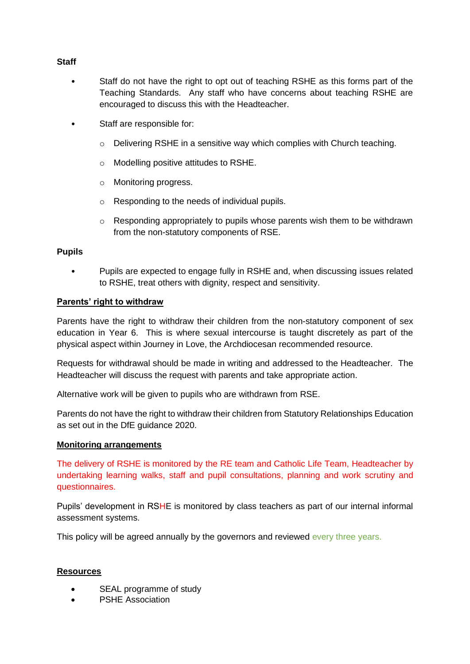#### **Staff**

- Staff do not have the right to opt out of teaching RSHE as this forms part of the Teaching Standards. Any staff who have concerns about teaching RSHE are encouraged to discuss this with the Headteacher.
- Staff are responsible for:
	- $\circ$  Delivering RSHE in a sensitive way which complies with Church teaching.
	- o Modelling positive attitudes to RSHE.
	- o Monitoring progress.
	- o Responding to the needs of individual pupils.
	- $\circ$  Responding appropriately to pupils whose parents wish them to be withdrawn from the non-statutory components of RSE.

#### **Pupils**

• Pupils are expected to engage fully in RSHE and, when discussing issues related to RSHE, treat others with dignity, respect and sensitivity.

#### **Parents' right to withdraw**

Parents have the right to withdraw their children from the non-statutory component of sex education in Year 6. This is where sexual intercourse is taught discretely as part of the physical aspect within Journey in Love, the Archdiocesan recommended resource.

Requests for withdrawal should be made in writing and addressed to the Headteacher. The Headteacher will discuss the request with parents and take appropriate action.

Alternative work will be given to pupils who are withdrawn from RSE.

Parents do not have the right to withdraw their children from Statutory Relationships Education as set out in the DfE guidance 2020.

#### **Monitoring arrangements**

The delivery of RSHE is monitored by the RE team and Catholic Life Team, Headteacher by undertaking learning walks, staff and pupil consultations, planning and work scrutiny and questionnaires.

Pupils' development in RSHE is monitored by class teachers as part of our internal informal assessment systems.

This policy will be agreed annually by the governors and reviewed every three years.

#### **Resources**

- SEAL programme of study
- PSHE Association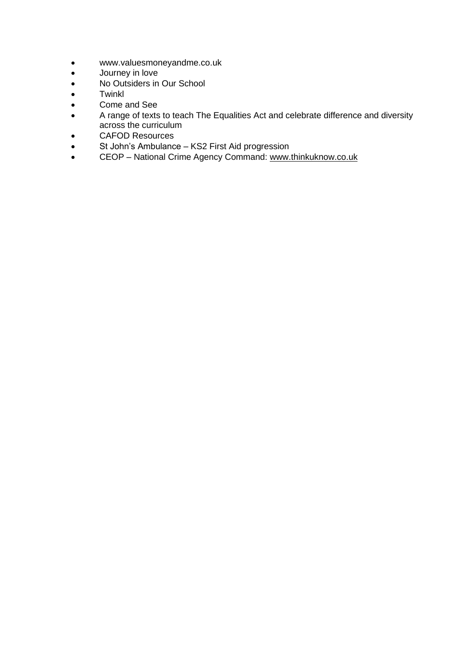- www.valuesmoneyandme.co.uk
- Journey in love
- No Outsiders in Our School
- Twinkl
- Come and See
- A range of texts to teach The Equalities Act and celebrate difference and diversity across the curriculum
- CAFOD Resources
- St John's Ambulance KS2 First Aid progression
- CEOP National Crime Agency Command: www.thinkuknow.co.uk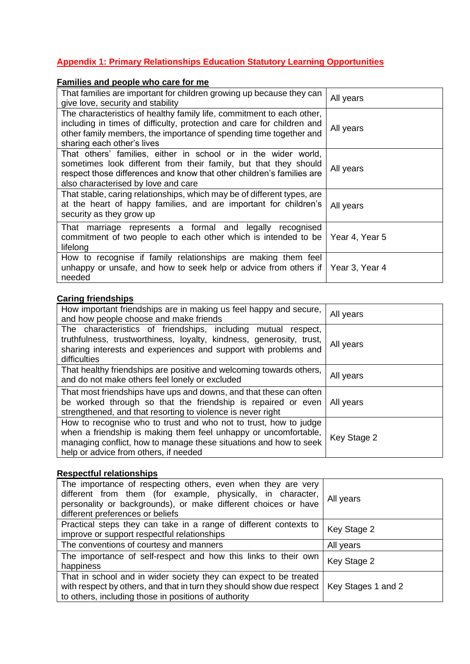# **Appendix 1: Primary Relationships Education Statutory Learning Opportunities**

#### **Families and people who care for me**

| That families are important for children growing up because they can<br>give love, security and stability                                                                                                                                           | All years      |
|-----------------------------------------------------------------------------------------------------------------------------------------------------------------------------------------------------------------------------------------------------|----------------|
| The characteristics of healthy family life, commitment to each other,<br>including in times of difficulty, protection and care for children and<br>other family members, the importance of spending time together and<br>sharing each other's lives | All years      |
| That others' families, either in school or in the wider world,<br>sometimes look different from their family, but that they should<br>respect those differences and know that other children's families are<br>also characterised by love and care  | All years      |
| That stable, caring relationships, which may be of different types, are<br>at the heart of happy families, and are important for children's<br>security as they grow up                                                                             | All years      |
| That marriage represents a formal and legally recognised<br>commitment of two people to each other which is intended to be<br>lifelong                                                                                                              | Year 4, Year 5 |
| How to recognise if family relationships are making them feel<br>unhappy or unsafe, and how to seek help or advice from others if   Year 3, Year 4<br>needed                                                                                        |                |

## **Caring friendships**

| How important friendships are in making us feel happy and secure,<br>and how people choose and make friends                                                                                                                                       | All years   |
|---------------------------------------------------------------------------------------------------------------------------------------------------------------------------------------------------------------------------------------------------|-------------|
| The characteristics of friendships, including mutual respect,<br>truthfulness, trustworthiness, loyalty, kindness, generosity, trust,<br>sharing interests and experiences and support with problems and<br>difficulties                          | All years   |
| That healthy friendships are positive and welcoming towards others,<br>and do not make others feel lonely or excluded                                                                                                                             | All years   |
| That most friendships have ups and downs, and that these can often<br>be worked through so that the friendship is repaired or even<br>strengthened, and that resorting to violence is never right                                                 | All years   |
| How to recognise who to trust and who not to trust, how to judge<br>when a friendship is making them feel unhappy or uncomfortable,<br>managing conflict, how to manage these situations and how to seek<br>help or advice from others, if needed | Key Stage 2 |

# **Respectful relationships**

| The importance of respecting others, even when they are very<br>different from them (for example, physically, in character,<br>personality or backgrounds), or make different choices or have<br>different preferences or beliefs | All years          |
|-----------------------------------------------------------------------------------------------------------------------------------------------------------------------------------------------------------------------------------|--------------------|
| Practical steps they can take in a range of different contexts to<br>improve or support respectful relationships                                                                                                                  | Key Stage 2        |
| The conventions of courtesy and manners                                                                                                                                                                                           | All years          |
| The importance of self-respect and how this links to their own<br>happiness                                                                                                                                                       | Key Stage 2        |
| That in school and in wider society they can expect to be treated<br>with respect by others, and that in turn they should show due respect<br>to others, including those in positions of authority                                | Key Stages 1 and 2 |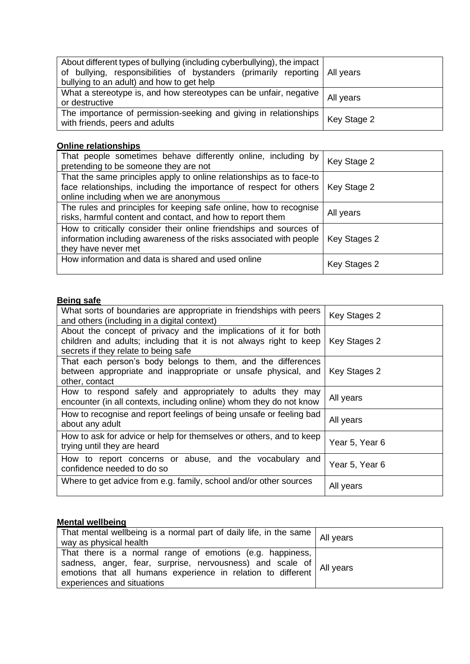| About different types of bullying (including cyberbullying), the impact<br>of bullying, responsibilities of bystanders (primarily reporting Allyears<br>bullying to an adult) and how to get help |             |
|---------------------------------------------------------------------------------------------------------------------------------------------------------------------------------------------------|-------------|
| What a stereotype is, and how stereotypes can be unfair, negative  <br>or destructive                                                                                                             | All years   |
| The importance of permission-seeking and giving in relationships  <br>with friends, peers and adults                                                                                              | Key Stage 2 |

### **Online relationships**

| That people sometimes behave differently online, including by<br>pretending to be someone they are not                                                                               | Key Stage 2  |
|--------------------------------------------------------------------------------------------------------------------------------------------------------------------------------------|--------------|
| That the same principles apply to online relationships as to face-to<br>face relationships, including the importance of respect for others<br>online including when we are anonymous | Key Stage 2  |
| The rules and principles for keeping safe online, how to recognise<br>risks, harmful content and contact, and how to report them                                                     | All years    |
| How to critically consider their online friendships and sources of<br>information including awareness of the risks associated with people<br>they have never met                     | Key Stages 2 |
| How information and data is shared and used online                                                                                                                                   | Key Stages 2 |

# **Being safe**

| What sorts of boundaries are appropriate in friendships with peers<br>and others (including in a digital context)                                                              | Key Stages 2   |
|--------------------------------------------------------------------------------------------------------------------------------------------------------------------------------|----------------|
| About the concept of privacy and the implications of it for both<br>children and adults; including that it is not always right to keep<br>secrets if they relate to being safe | Key Stages 2   |
| That each person's body belongs to them, and the differences<br>between appropriate and inappropriate or unsafe physical, and<br>other, contact                                | Key Stages 2   |
| How to respond safely and appropriately to adults they may<br>encounter (in all contexts, including online) whom they do not know                                              | All years      |
| How to recognise and report feelings of being unsafe or feeling bad<br>about any adult                                                                                         | All years      |
| How to ask for advice or help for themselves or others, and to keep<br>trying until they are heard                                                                             | Year 5, Year 6 |
| How to report concerns or abuse, and the vocabulary and<br>confidence needed to do so                                                                                          | Year 5, Year 6 |
| Where to get advice from e.g. family, school and/or other sources                                                                                                              | All years      |

# **Mental wellbeing**

| $\frac{1}{2}$ That mental wellbeing is a normal part of daily life, in the same $\vert$ All years<br>way as physical health                                                                                                    |  |
|--------------------------------------------------------------------------------------------------------------------------------------------------------------------------------------------------------------------------------|--|
| That there is a normal range of emotions (e.g. happiness,<br>sadness, anger, fear, surprise, nervousness) and scale of All years<br>emotions that all humans experience in relation to different<br>experiences and situations |  |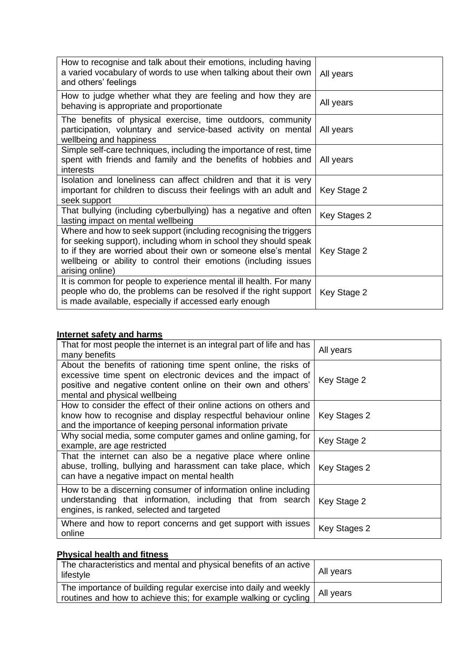| How to recognise and talk about their emotions, including having<br>a varied vocabulary of words to use when talking about their own<br>and others' feelings                                                                                                                                    | All years    |
|-------------------------------------------------------------------------------------------------------------------------------------------------------------------------------------------------------------------------------------------------------------------------------------------------|--------------|
| How to judge whether what they are feeling and how they are<br>behaving is appropriate and proportionate                                                                                                                                                                                        | All years    |
| The benefits of physical exercise, time outdoors, community<br>participation, voluntary and service-based activity on mental<br>wellbeing and happiness                                                                                                                                         | All years    |
| Simple self-care techniques, including the importance of rest, time<br>spent with friends and family and the benefits of hobbies and<br>interests                                                                                                                                               | All years    |
| Isolation and loneliness can affect children and that it is very<br>important for children to discuss their feelings with an adult and<br>seek support                                                                                                                                          | Key Stage 2  |
| That bullying (including cyberbullying) has a negative and often<br>lasting impact on mental wellbeing                                                                                                                                                                                          | Key Stages 2 |
| Where and how to seek support (including recognising the triggers<br>for seeking support), including whom in school they should speak<br>to if they are worried about their own or someone else's mental<br>wellbeing or ability to control their emotions (including issues<br>arising online) | Key Stage 2  |
| It is common for people to experience mental ill health. For many<br>people who do, the problems can be resolved if the right support<br>is made available, especially if accessed early enough                                                                                                 | Key Stage 2  |

### **Internet safety and harms**

| That for most people the internet is an integral part of life and has<br>many benefits                                                                                                                                            | All years           |
|-----------------------------------------------------------------------------------------------------------------------------------------------------------------------------------------------------------------------------------|---------------------|
| About the benefits of rationing time spent online, the risks of<br>excessive time spent on electronic devices and the impact of<br>positive and negative content online on their own and others'<br>mental and physical wellbeing | Key Stage 2         |
| How to consider the effect of their online actions on others and<br>know how to recognise and display respectful behaviour online<br>and the importance of keeping personal information private                                   | Key Stages 2        |
| Why social media, some computer games and online gaming, for<br>example, are age restricted                                                                                                                                       | Key Stage 2         |
| That the internet can also be a negative place where online<br>abuse, trolling, bullying and harassment can take place, which<br>can have a negative impact on mental health                                                      | Key Stages 2        |
| How to be a discerning consumer of information online including<br>understanding that information, including that from search<br>engines, is ranked, selected and targeted                                                        | Key Stage 2         |
| Where and how to report concerns and get support with issues<br>online                                                                                                                                                            | <b>Key Stages 2</b> |

# **Physical health and fitness** The characteristics and mental and physical benefits of an active lifestyle **All years** Alleman and prijoidar behavior of an address **All years** The importance of building regular exercise into daily and weekly routines and how to achieve this; for example walking or cycling All years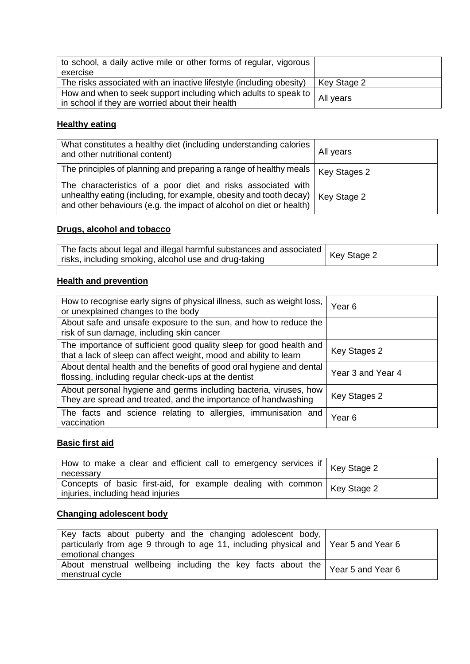| to school, a daily active mile or other forms of regular, vigorous  |             |
|---------------------------------------------------------------------|-------------|
| exercise                                                            |             |
| The risks associated with an inactive lifestyle (including obesity) | Key Stage 2 |
| How and when to seek support including which adults to speak to     | All years   |
| in school if they are worried about their health                    |             |

# **Healthy eating**

| What constitutes a healthy diet (including understanding calories  <br>and other nutritional content)                                                                                                     | All years    |
|-----------------------------------------------------------------------------------------------------------------------------------------------------------------------------------------------------------|--------------|
| The principles of planning and preparing a range of healthy meals                                                                                                                                         | Key Stages 2 |
| The characteristics of a poor diet and risks associated with<br>unhealthy eating (including, for example, obesity and tooth decay)<br>and other behaviours (e.g. the impact of alcohol on diet or health) | Key Stage 2  |

# **Drugs, alcohol and tobacco**

| The facts about legal and illegal harmful substances and associated   Key Stage 2 |  |
|-----------------------------------------------------------------------------------|--|
| risks, including smoking, alcohol use and drug-taking                             |  |

# **Health and prevention**

| How to recognise early signs of physical illness, such as weight loss,<br>or unexplained changes to the body                             | Year 6            |
|------------------------------------------------------------------------------------------------------------------------------------------|-------------------|
| About safe and unsafe exposure to the sun, and how to reduce the<br>risk of sun damage, including skin cancer                            |                   |
| The importance of sufficient good quality sleep for good health and<br>that a lack of sleep can affect weight, mood and ability to learn | Key Stages 2      |
| About dental health and the benefits of good oral hygiene and dental<br>flossing, including regular check-ups at the dentist             | Year 3 and Year 4 |
| About personal hygiene and germs including bacteria, viruses, how<br>They are spread and treated, and the importance of handwashing      | Key Stages 2      |
| The facts and science relating to allergies, immunisation and<br>vaccination                                                             | Year 6            |

# **Basic first aid**

| How to make a clear and efficient call to emergency services if   Key Stage 2<br>necessary                      |  |
|-----------------------------------------------------------------------------------------------------------------|--|
| Concepts of basic first-aid, for example dealing with common   Key Stage 2<br>injuries, including head injuries |  |

# **Changing adolescent body**

| About menstrual wellbeing including the key facts about the Year 5 and Year 6 | Key facts about puberty and the changing adolescent body,<br>particularly from age 9 through to age 11, including physical and   Year 5 and Year 6 |  |  |  |
|-------------------------------------------------------------------------------|----------------------------------------------------------------------------------------------------------------------------------------------------|--|--|--|
|                                                                               | emotional changes                                                                                                                                  |  |  |  |
|                                                                               | menstrual cycle                                                                                                                                    |  |  |  |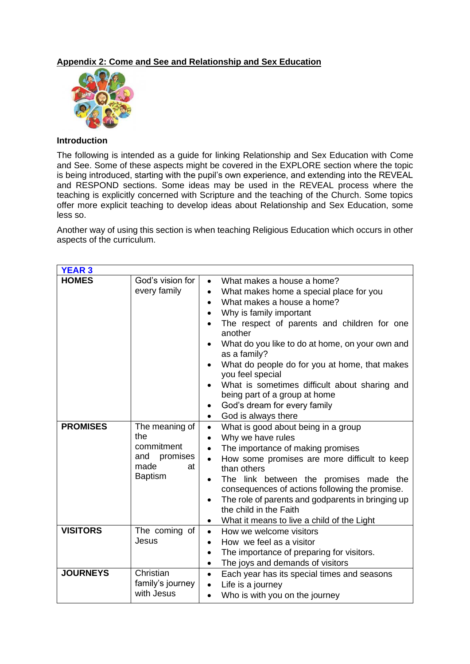## **Appendix 2: Come and See and Relationship and Sex Education**



#### **Introduction**

The following is intended as a guide for linking Relationship and Sex Education with Come and See. Some of these aspects might be covered in the EXPLORE section where the topic is being introduced, starting with the pupil's own experience, and extending into the REVEAL and RESPOND sections. Some ideas may be used in the REVEAL process where the teaching is explicitly concerned with Scripture and the teaching of the Church. Some topics offer more explicit teaching to develop ideas about Relationship and Sex Education, some less so.

Another way of using this section is when teaching Religious Education which occurs in other aspects of the curriculum.

| <b>YEAR 3</b>   |                                                                                        |                                                                                                                                                                                                                                                                                                                                                                                                                                                                                                                                                         |
|-----------------|----------------------------------------------------------------------------------------|---------------------------------------------------------------------------------------------------------------------------------------------------------------------------------------------------------------------------------------------------------------------------------------------------------------------------------------------------------------------------------------------------------------------------------------------------------------------------------------------------------------------------------------------------------|
| <b>HOMES</b>    | God's vision for<br>every family                                                       | What makes a house a home?<br>$\bullet$<br>What makes home a special place for you<br>$\bullet$<br>What makes a house a home?<br>$\bullet$<br>Why is family important<br>$\bullet$<br>The respect of parents and children for one<br>another<br>What do you like to do at home, on your own and<br>as a family?<br>What do people do for you at home, that makes<br>you feel special<br>What is sometimes difficult about sharing and<br>being part of a group at home<br>God's dream for every family<br>$\bullet$<br>God is always there<br>$\bullet$ |
| <b>PROMISES</b> | The meaning of<br>the<br>commitment<br>promises<br>and<br>made<br>at<br><b>Baptism</b> | What is good about being in a group<br>$\bullet$<br>Why we have rules<br>$\bullet$<br>The importance of making promises<br>$\bullet$<br>How some promises are more difficult to keep<br>$\bullet$<br>than others<br>The link between the promises made the<br>٠<br>consequences of actions following the promise.<br>The role of parents and godparents in bringing up<br>the child in the Faith<br>What it means to live a child of the Light<br>$\bullet$                                                                                             |
| <b>VISITORS</b> | The coming of<br>Jesus                                                                 | How we welcome visitors<br>$\bullet$<br>How we feel as a visitor<br>$\bullet$<br>The importance of preparing for visitors.<br>$\bullet$<br>The joys and demands of visitors<br>$\bullet$                                                                                                                                                                                                                                                                                                                                                                |
| <b>JOURNEYS</b> | Christian<br>family's journey<br>with Jesus                                            | Each year has its special times and seasons<br>$\bullet$<br>Life is a journey<br>$\bullet$<br>Who is with you on the journey<br>$\bullet$                                                                                                                                                                                                                                                                                                                                                                                                               |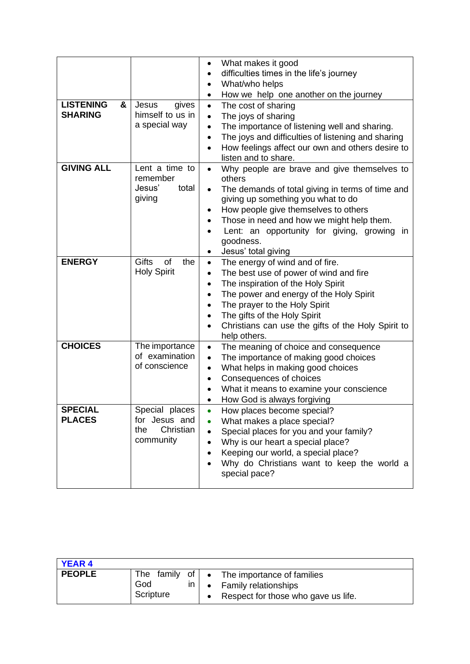|                       |                            | What makes it good<br>$\bullet$<br>difficulties times in the life's journey<br>$\bullet$ |
|-----------------------|----------------------------|------------------------------------------------------------------------------------------|
|                       |                            | What/who helps<br>$\bullet$                                                              |
|                       |                            | How we help one another on the journey<br>٠                                              |
| <b>LISTENING</b><br>& | Jesus<br>gives             | The cost of sharing<br>$\bullet$                                                         |
| <b>SHARING</b>        | himself to us in           | The joys of sharing<br>$\bullet$                                                         |
|                       | a special way              |                                                                                          |
|                       |                            | The importance of listening well and sharing.<br>$\bullet$                               |
|                       |                            | The joys and difficulties of listening and sharing<br>$\bullet$                          |
|                       |                            | How feelings affect our own and others desire to<br>$\bullet$<br>listen and to share.    |
| <b>GIVING ALL</b>     | Lent a time to<br>remember | Why people are brave and give themselves to<br>$\bullet$<br>others                       |
|                       | Jesus'<br>total            | The demands of total giving in terms of time and<br>$\bullet$                            |
|                       | giving                     | giving up something you what to do                                                       |
|                       |                            | How people give themselves to others<br>٠                                                |
|                       |                            | Those in need and how we might help them.                                                |
|                       |                            | Lent: an opportunity for giving, growing in                                              |
|                       |                            | goodness.                                                                                |
|                       |                            | Jesus' total giving<br>$\bullet$                                                         |
| <b>ENERGY</b>         | <b>Gifts</b><br>of<br>the  | The energy of wind and of fire.<br>$\bullet$                                             |
|                       | <b>Holy Spirit</b>         | The best use of power of wind and fire                                                   |
|                       |                            | The inspiration of the Holy Spirit<br>$\bullet$                                          |
|                       |                            | The power and energy of the Holy Spirit                                                  |
|                       |                            | The prayer to the Holy Spirit                                                            |
|                       |                            | The gifts of the Holy Spirit                                                             |
|                       |                            | Christians can use the gifts of the Holy Spirit to                                       |
|                       |                            | help others.                                                                             |
| <b>CHOICES</b>        | The importance             | The meaning of choice and consequence<br>$\bullet$                                       |
|                       | of examination             | The importance of making good choices<br>$\bullet$                                       |
|                       | of conscience              | What helps in making good choices<br>$\bullet$                                           |
|                       |                            | Consequences of choices<br>٠                                                             |
|                       |                            | What it means to examine your conscience                                                 |
|                       |                            | How God is always forgiving                                                              |
| <b>SPECIAL</b>        | Special places             | How places become special?                                                               |
| <b>PLACES</b>         | for Jesus and              | What makes a place special?                                                              |
|                       | Christian<br>the           | Special places for you and your family?<br>$\bullet$                                     |
|                       | community                  | Why is our heart a special place?                                                        |
|                       |                            | Keeping our world, a special place?                                                      |
|                       |                            | Why do Christians want to keep the world a                                               |
|                       |                            | special pace?                                                                            |
|                       |                            |                                                                                          |

| <b>YEAR 4</b> |                                                   |           |                                                                                                    |
|---------------|---------------------------------------------------|-----------|----------------------------------------------------------------------------------------------------|
| <b>PEOPLE</b> | The family of<br>God<br>$\mathsf{I}$<br>Scripture | $\bullet$ | • The importance of families<br><b>Family relationships</b><br>Respect for those who gave us life. |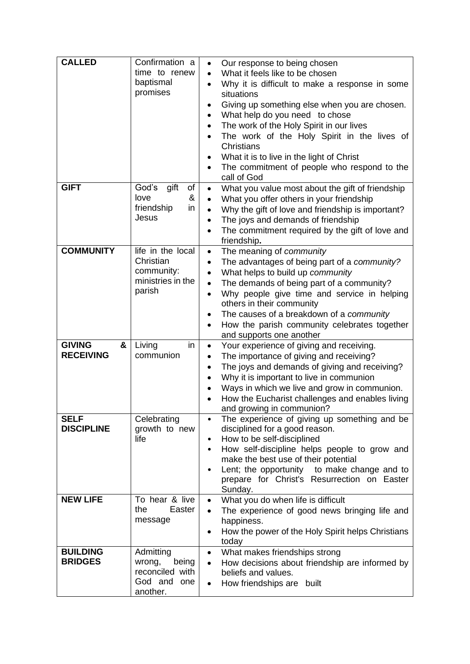| <b>CALLED</b>                          | Confirmation a<br>time to renew<br>baptismal<br>promises                    | Our response to being chosen<br>$\bullet$<br>What it feels like to be chosen<br>$\bullet$<br>Why it is difficult to make a response in some<br>$\bullet$<br>situations<br>Giving up something else when you are chosen.<br>$\bullet$<br>What help do you need to chose<br>$\bullet$<br>The work of the Holy Spirit in our lives<br>$\bullet$<br>The work of the Holy Spirit in the lives of<br>Christians<br>What it is to live in the light of Christ<br>The commitment of people who respond to the<br>$\bullet$<br>call of God |
|----------------------------------------|-----------------------------------------------------------------------------|-----------------------------------------------------------------------------------------------------------------------------------------------------------------------------------------------------------------------------------------------------------------------------------------------------------------------------------------------------------------------------------------------------------------------------------------------------------------------------------------------------------------------------------|
| <b>GIFT</b>                            | God's<br>gift<br>of<br>&<br>love<br>friendship<br>in<br>Jesus               | What you value most about the gift of friendship<br>$\bullet$<br>What you offer others in your friendship<br>$\bullet$<br>Why the gift of love and friendship is important?<br>$\bullet$<br>The joys and demands of friendship<br>The commitment required by the gift of love and<br>$\bullet$<br>friendship.                                                                                                                                                                                                                     |
| <b>COMMUNITY</b>                       | life in the local<br>Christian<br>community:<br>ministries in the<br>parish | The meaning of community<br>$\bullet$<br>The advantages of being part of a community?<br>$\bullet$<br>What helps to build up community<br>$\bullet$<br>The demands of being part of a community?<br>$\bullet$<br>Why people give time and service in helping<br>$\bullet$<br>others in their community<br>The causes of a breakdown of a community<br>How the parish community celebrates together<br>and supports one another                                                                                                    |
| <b>GIVING</b><br>&<br><b>RECEIVING</b> | Living<br>in<br>communion                                                   | Your experience of giving and receiving.<br>$\bullet$<br>The importance of giving and receiving?<br>$\bullet$<br>The joys and demands of giving and receiving?<br>$\bullet$<br>Why it is important to live in communion<br>$\bullet$<br>Ways in which we live and grow in communion.<br>How the Eucharist challenges and enables living<br>and growing in communion?                                                                                                                                                              |
| <b>SELF</b><br><b>DISCIPLINE</b>       | Celebrating<br>growth to new<br>life                                        | The experience of giving up something and be<br>$\bullet$<br>disciplined for a good reason.<br>How to be self-disciplined<br>$\bullet$<br>How self-discipline helps people to grow and<br>$\bullet$<br>make the best use of their potential<br>Lent; the opportunity to make change and to<br>prepare for Christ's Resurrection on Easter<br>Sunday.                                                                                                                                                                              |
| <b>NEW LIFE</b>                        | To hear & live<br>Easter<br>the<br>message                                  | What you do when life is difficult<br>$\bullet$<br>The experience of good news bringing life and<br>$\bullet$<br>happiness.<br>How the power of the Holy Spirit helps Christians<br>٠<br>today                                                                                                                                                                                                                                                                                                                                    |
| <b>BUILDING</b><br><b>BRIDGES</b>      | Admitting<br>being<br>wrong,<br>reconciled with<br>God and one<br>another.  | What makes friendships strong<br>$\bullet$<br>How decisions about friendship are informed by<br>$\bullet$<br>beliefs and values.<br>How friendships are built<br>$\bullet$                                                                                                                                                                                                                                                                                                                                                        |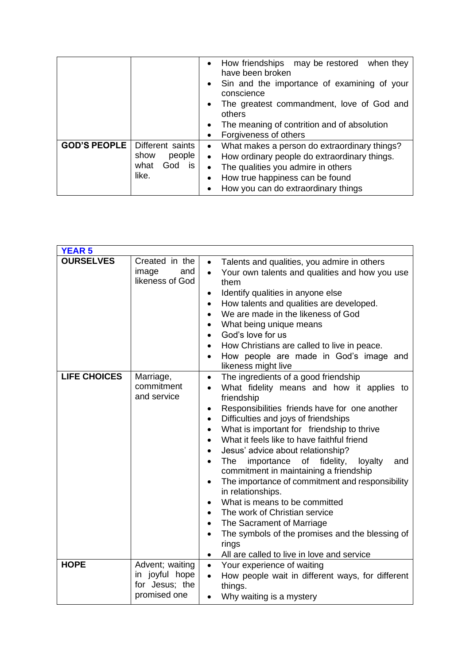|                     |                                                               | How friendships<br>may be restored when they<br>have been broken<br>Sin and the importance of examining of your<br>conscience<br>The greatest commandment, love of God and<br>$\bullet$<br>others<br>The meaning of contrition and of absolution                                          |
|---------------------|---------------------------------------------------------------|-------------------------------------------------------------------------------------------------------------------------------------------------------------------------------------------------------------------------------------------------------------------------------------------|
| <b>GOD'S PEOPLE</b> | Different saints<br>show<br>people<br>God is<br>what<br>like. | Forgiveness of others<br>What makes a person do extraordinary things?<br>$\bullet$<br>How ordinary people do extraordinary things.<br>$\bullet$<br>The qualities you admire in others<br>$\bullet$<br>How true happiness can be found<br>$\bullet$<br>How you can do extraordinary things |

| <b>YEAR 5</b>       |                                                                     |                                                                                                                                                                                                                                                                                                                                                                                                                                                                                                                                                                                                                                                                                                                                                                                                                                                                                      |
|---------------------|---------------------------------------------------------------------|--------------------------------------------------------------------------------------------------------------------------------------------------------------------------------------------------------------------------------------------------------------------------------------------------------------------------------------------------------------------------------------------------------------------------------------------------------------------------------------------------------------------------------------------------------------------------------------------------------------------------------------------------------------------------------------------------------------------------------------------------------------------------------------------------------------------------------------------------------------------------------------|
| <b>OURSELVES</b>    | Created in the<br>and<br>image<br>likeness of God                   | Talents and qualities, you admire in others<br>$\bullet$<br>Your own talents and qualities and how you use<br>$\bullet$<br>them<br>Identify qualities in anyone else<br>$\bullet$<br>How talents and qualities are developed.<br>$\bullet$<br>We are made in the likeness of God<br>$\bullet$<br>What being unique means<br>$\bullet$<br>God's love for us<br>$\bullet$<br>How Christians are called to live in peace.<br>How people are made in God's image and<br>$\bullet$<br>likeness might live                                                                                                                                                                                                                                                                                                                                                                                 |
| <b>LIFE CHOICES</b> | Marriage,<br>commitment<br>and service                              | The ingredients of a good friendship<br>$\bullet$<br>What fidelity means and how it applies to<br>$\bullet$<br>friendship<br>Responsibilities friends have for one another<br>$\bullet$<br>Difficulties and joys of friendships<br>$\bullet$<br>What is important for friendship to thrive<br>$\bullet$<br>What it feels like to have faithful friend<br>$\bullet$<br>Jesus' advice about relationship?<br>$\bullet$<br>of fidelity,<br>The<br>importance<br>loyalty<br>and<br>commitment in maintaining a friendship<br>The importance of commitment and responsibility<br>$\bullet$<br>in relationships.<br>What is means to be committed<br>$\bullet$<br>The work of Christian service<br>$\bullet$<br>The Sacrament of Marriage<br>$\bullet$<br>The symbols of the promises and the blessing of<br>$\bullet$<br>rings<br>All are called to live in love and service<br>$\bullet$ |
| <b>HOPE</b>         | Advent; waiting<br>in joyful hope<br>for Jesus; the<br>promised one | Your experience of waiting<br>$\bullet$<br>How people wait in different ways, for different<br>$\bullet$<br>things.<br>Why waiting is a mystery<br>$\bullet$                                                                                                                                                                                                                                                                                                                                                                                                                                                                                                                                                                                                                                                                                                                         |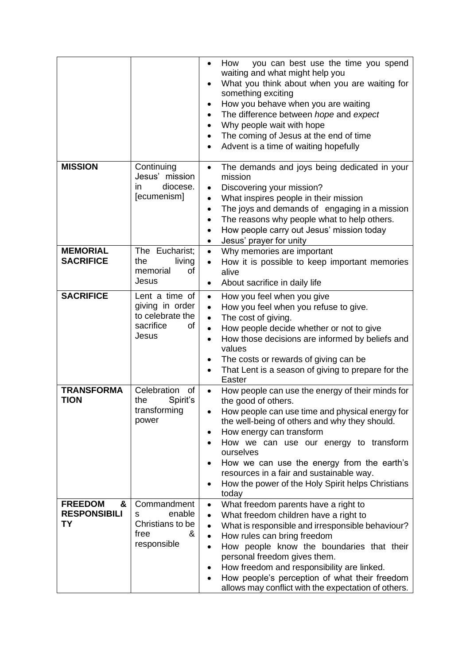|                                                  |                                                                                   | you can best use the time you spend<br>How<br>$\bullet$<br>waiting and what might help you<br>What you think about when you are waiting for<br>something exciting<br>How you behave when you are waiting<br>٠<br>The difference between hope and expect<br>$\bullet$<br>Why people wait with hope<br>$\bullet$<br>The coming of Jesus at the end of time<br>Advent is a time of waiting hopefully                                                                    |
|--------------------------------------------------|-----------------------------------------------------------------------------------|----------------------------------------------------------------------------------------------------------------------------------------------------------------------------------------------------------------------------------------------------------------------------------------------------------------------------------------------------------------------------------------------------------------------------------------------------------------------|
| <b>MISSION</b>                                   | Continuing<br>Jesus' mission<br>diocese.<br>in.<br>[ecumenism]                    | The demands and joys being dedicated in your<br>$\bullet$<br>mission<br>Discovering your mission?<br>$\bullet$<br>What inspires people in their mission<br>$\bullet$<br>The joys and demands of engaging in a mission<br>$\bullet$<br>The reasons why people what to help others.<br>$\bullet$<br>How people carry out Jesus' mission today<br>$\bullet$<br>Jesus' prayer for unity<br>٠                                                                             |
| <b>MEMORIAL</b><br><b>SACRIFICE</b>              | The Eucharist;<br>living<br>the<br>memorial<br>οf<br>Jesus                        | Why memories are important<br>$\bullet$<br>How it is possible to keep important memories<br>$\bullet$<br>alive<br>About sacrifice in daily life<br>٠                                                                                                                                                                                                                                                                                                                 |
| <b>SACRIFICE</b>                                 | Lent a time of<br>giving in order<br>to celebrate the<br>sacrifice<br>of<br>Jesus | How you feel when you give<br>$\bullet$<br>How you feel when you refuse to give.<br>$\bullet$<br>The cost of giving.<br>$\bullet$<br>How people decide whether or not to give<br>$\bullet$<br>How those decisions are informed by beliefs and<br>$\bullet$<br>values<br>The costs or rewards of giving can be<br>٠<br>That Lent is a season of giving to prepare for the<br>Easter                                                                                   |
| <b>TRANSFORMA</b><br><b>TION</b>                 | Celebration<br><b>of</b><br>Spirit's<br>the<br>transforming<br>power              | How people can use the energy of their minds for<br>$\bullet$<br>the good of others.<br>How people can use time and physical energy for<br>the well-being of others and why they should.<br>How energy can transform<br>٠<br>How we can use our energy to transform<br>ourselves<br>How we can use the energy from the earth's<br>resources in a fair and sustainable way.<br>How the power of the Holy Spirit helps Christians<br>$\bullet$<br>today                |
| <b>FREEDOM</b><br>&<br><b>RESPONSIBILI</b><br>TΥ | Commandment<br>enable<br>s<br>Christians to be<br>&<br>free<br>responsible        | What freedom parents have a right to<br>$\bullet$<br>What freedom children have a right to<br>$\bullet$<br>What is responsible and irresponsible behaviour?<br>$\bullet$<br>How rules can bring freedom<br>$\bullet$<br>How people know the boundaries that their<br>$\bullet$<br>personal freedom gives them.<br>How freedom and responsibility are linked.<br>How people's perception of what their freedom<br>allows may conflict with the expectation of others. |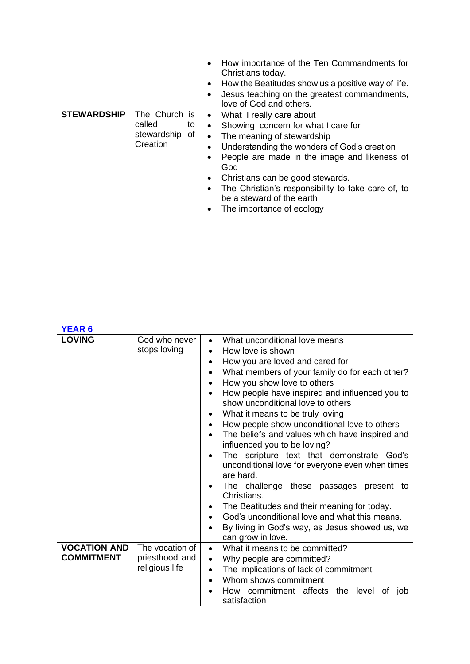|                    |                                                             | How importance of the Ten Commandments for<br>Christians today.<br>How the Beatitudes show us a positive way of life.<br>٠<br>Jesus teaching on the greatest commandments,<br>love of God and others.                                                                                                                                                                                                            |
|--------------------|-------------------------------------------------------------|------------------------------------------------------------------------------------------------------------------------------------------------------------------------------------------------------------------------------------------------------------------------------------------------------------------------------------------------------------------------------------------------------------------|
| <b>STEWARDSHIP</b> | The Church is<br>called<br>to<br>stewardship of<br>Creation | What I really care about<br>$\bullet$<br>Showing concern for what I care for<br>$\bullet$<br>The meaning of stewardship<br>$\bullet$<br>Understanding the wonders of God's creation<br>$\bullet$<br>People are made in the image and likeness of<br>God<br>Christians can be good stewards.<br>٠<br>The Christian's responsibility to take care of, to<br>be a steward of the earth<br>The importance of ecology |

| <b>YEAR 6</b>                            |                                                     |                                                                                                                                                                                                                                                                                                                                                                                                                                                                                                                                                                                                                                                                                                                                                                                                                                                                                                                                                         |
|------------------------------------------|-----------------------------------------------------|---------------------------------------------------------------------------------------------------------------------------------------------------------------------------------------------------------------------------------------------------------------------------------------------------------------------------------------------------------------------------------------------------------------------------------------------------------------------------------------------------------------------------------------------------------------------------------------------------------------------------------------------------------------------------------------------------------------------------------------------------------------------------------------------------------------------------------------------------------------------------------------------------------------------------------------------------------|
| <b>LOVING</b>                            | God who never<br>stops loving                       | What unconditional love means<br>$\bullet$<br>How love is shown<br>$\bullet$<br>How you are loved and cared for<br>$\bullet$<br>What members of your family do for each other?<br>$\bullet$<br>How you show love to others<br>$\bullet$<br>How people have inspired and influenced you to<br>$\bullet$<br>show unconditional love to others<br>What it means to be truly loving<br>٠<br>How people show unconditional love to others<br>$\bullet$<br>The beliefs and values which have inspired and<br>$\bullet$<br>influenced you to be loving?<br>The scripture text that demonstrate God's<br>$\bullet$<br>unconditional love for everyone even when times<br>are hard.<br>The challenge these passages present to<br>$\bullet$<br>Christians.<br>The Beatitudes and their meaning for today.<br>٠<br>God's unconditional love and what this means.<br>$\bullet$<br>By living in God's way, as Jesus showed us, we<br>$\bullet$<br>can grow in love. |
| <b>VOCATION AND</b><br><b>COMMITMENT</b> | The vocation of<br>priesthood and<br>religious life | What it means to be committed?<br>$\bullet$<br>Why people are committed?<br>$\bullet$<br>The implications of lack of commitment<br>$\bullet$<br>Whom shows commitment<br>$\bullet$<br>How commitment affects the level of<br>job<br>$\bullet$<br>satisfaction                                                                                                                                                                                                                                                                                                                                                                                                                                                                                                                                                                                                                                                                                           |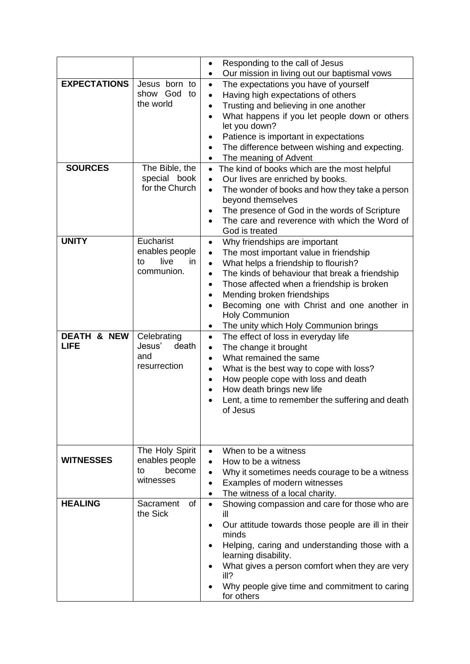|                                       |                                                                | Responding to the call of Jesus<br>٠<br>Our mission in living out our baptismal vows<br>$\bullet$                                                                                                                                                                                                                                                                                                                                         |
|---------------------------------------|----------------------------------------------------------------|-------------------------------------------------------------------------------------------------------------------------------------------------------------------------------------------------------------------------------------------------------------------------------------------------------------------------------------------------------------------------------------------------------------------------------------------|
| <b>EXPECTATIONS</b><br><b>SOURCES</b> | Jesus born to<br>show God<br>to<br>the world<br>The Bible, the | The expectations you have of yourself<br>$\bullet$<br>Having high expectations of others<br>$\bullet$<br>Trusting and believing in one another<br>$\bullet$<br>What happens if you let people down or others<br>$\bullet$<br>let you down?<br>Patience is important in expectations<br>The difference between wishing and expecting.<br>The meaning of Advent<br>$\bullet$<br>The kind of books which are the most helpful<br>$\bullet$   |
|                                       | special book<br>for the Church                                 | Our lives are enriched by books.<br>$\bullet$<br>The wonder of books and how they take a person<br>$\bullet$<br>beyond themselves<br>The presence of God in the words of Scripture<br>The care and reverence with which the Word of<br>God is treated                                                                                                                                                                                     |
| <b>UNITY</b>                          | Eucharist<br>enables people<br>live<br>to<br>in<br>communion.  | Why friendships are important<br>$\bullet$<br>The most important value in friendship<br>$\bullet$<br>What helps a friendship to flourish?<br>$\bullet$<br>The kinds of behaviour that break a friendship<br>$\bullet$<br>Those affected when a friendship is broken<br>٠<br>Mending broken friendships<br>$\bullet$<br>Becoming one with Christ and one another in<br><b>Holy Communion</b><br>The unity which Holy Communion brings<br>٠ |
| <b>DEATH &amp; NEW</b><br><b>LIFE</b> | Celebrating<br>death<br>Jesus'<br>and<br>resurrection          | The effect of loss in everyday life<br>$\bullet$<br>The change it brought<br>$\bullet$<br>What remained the same<br>What is the best way to cope with loss?<br>How people cope with loss and death<br>$\bullet$<br>How death brings new life<br>Lent, a time to remember the suffering and death<br>of Jesus                                                                                                                              |
| <b>WITNESSES</b>                      | The Holy Spirit<br>enables people<br>become<br>to<br>witnesses | When to be a witness<br>$\bullet$<br>How to be a witness<br>$\bullet$<br>Why it sometimes needs courage to be a witness<br>Examples of modern witnesses<br>$\bullet$<br>The witness of a local charity.<br>$\bullet$                                                                                                                                                                                                                      |
| <b>HEALING</b>                        | of<br>Sacrament<br>the Sick                                    | Showing compassion and care for those who are<br>$\bullet$<br>ill<br>Our attitude towards those people are ill in their<br>minds<br>Helping, caring and understanding those with a<br>learning disability.<br>What gives a person comfort when they are very<br>ill?<br>Why people give time and commitment to caring<br>for others                                                                                                       |